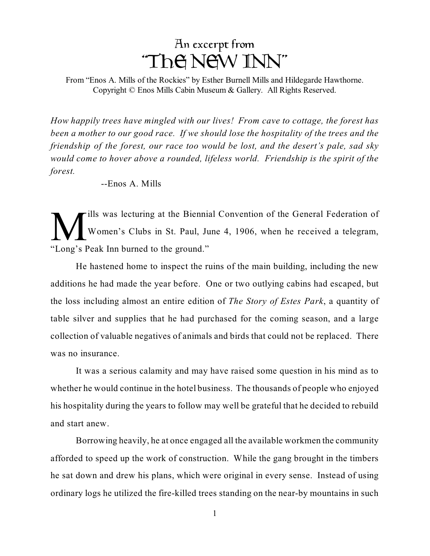

From "Enos A. Mills of the Rockies" by Esther Burnell Mills and Hildegarde Hawthorne. Copyright © Enos Mills Cabin Museum & Gallery. All Rights Reserved.

*How happily trees have mingled with our lives! From cave to cottage, the forest has been a mother to our good race. If we should lose the hospitality of the trees and the friendship of the forest, our race too would be lost, and the desert's pale, sad sky would come to hover above a rounded, lifeless world. Friendship is the spirit of the forest.*

--Enos A. Mills

**M** ills was lecturing at the Bienni<br>"Long's Peak Inn burned to the ground." ills was lecturing at the Biennial Convention of the General Federation of Women's Clubs in St. Paul, June 4, 1906, when he received a telegram,

He hastened home to inspect the ruins of the main building, including the new additions he had made the year before. One or two outlying cabins had escaped, but the loss including almost an entire edition of *The Story of Estes Park*, a quantity of table silver and supplies that he had purchased for the coming season, and a large collection of valuable negatives of animals and birds that could not be replaced. There was no insurance.

It was a serious calamity and may have raised some question in his mind as to whether he would continue in the hotel business. The thousands of people who enjoyed his hospitality during the years to follow may well be grateful that he decided to rebuild and start anew.

Borrowing heavily, he at once engaged all the available workmen the community afforded to speed up the work of construction. While the gang brought in the timbers he sat down and drew his plans, which were original in every sense. Instead of using ordinary logs he utilized the fire-killed trees standing on the near-by mountains in such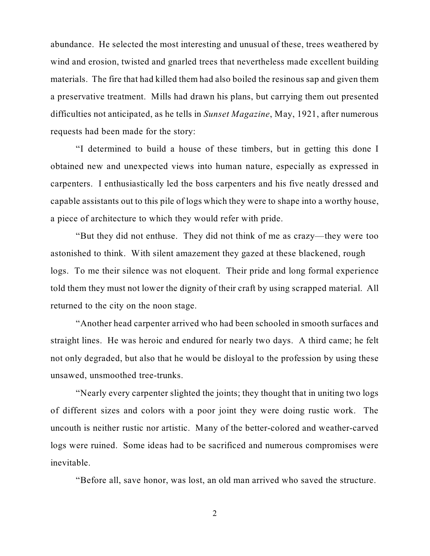abundance. He selected the most interesting and unusual of these, trees weathered by wind and erosion, twisted and gnarled trees that nevertheless made excellent building materials. The fire that had killed them had also boiled the resinous sap and given them a preservative treatment. Mills had drawn his plans, but carrying them out presented difficulties not anticipated, as he tells in *Sunset Magazine*, May, 1921, after numerous requests had been made for the story:

"I determined to build a house of these timbers, but in getting this done I obtained new and unexpected views into human nature, especially as expressed in carpenters. I enthusiastically led the boss carpenters and his five neatly dressed and capable assistants out to this pile of logs which they were to shape into a worthy house, a piece of architecture to which they would refer with pride.

"But they did not enthuse. They did not think of me as crazy—they were too astonished to think. With silent amazement they gazed at these blackened, rough logs. To me their silence was not eloquent. Their pride and long formal experience told them they must not lower the dignity of their craft by using scrapped material. All returned to the city on the noon stage.

"Another head carpenter arrived who had been schooled in smooth surfaces and straight lines. He was heroic and endured for nearly two days. A third came; he felt not only degraded, but also that he would be disloyal to the profession by using these unsawed, unsmoothed tree-trunks.

"Nearly every carpenter slighted the joints; they thought that in uniting two logs of different sizes and colors with a poor joint they were doing rustic work. The uncouth is neither rustic nor artistic. Many of the better-colored and weather-carved logs were ruined. Some ideas had to be sacrificed and numerous compromises were inevitable.

"Before all, save honor, was lost, an old man arrived who saved the structure.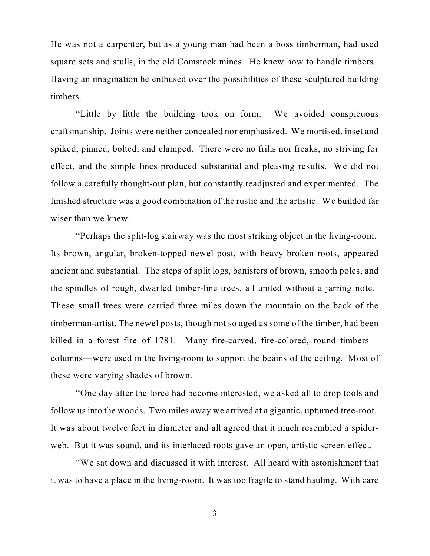He was not a carpenter, but as a young man had been a boss timberman, had used square sets and stulls, in the old Comstock mines. He knew how to handle timbers. Having an imagination he enthused over the possibilities of these sculptured building timbers.

"Little by little the building took on form. We avoided conspicuous craftsmanship. Joints were neither concealed nor emphasized. We mortised, inset and spiked, pinned, bolted, and clamped. There were no frills nor freaks, no striving for effect, and the simple lines produced substantial and pleasing results. We did not follow a carefully thought-out plan, but constantly readjusted and experimented. The finished structure was a good combination of the rustic and the artistic. We builded far wiser than we knew.

"Perhaps the split-log stairway was the most striking object in the living-room. Its brown, angular, broken-topped newel post, with heavy broken roots, appeared ancient and substantial. The steps of split logs, banisters of brown, smooth poles, and the spindles of rough, dwarfed timber-line trees, all united without a jarring note. These small trees were carried three miles down the mountain on the back of the timberman-artist. The newel posts, though not so aged as some of the timber, had been killed in a forest fire of 1781. Many fire-carved, fire-colored, round timbers columns—were used in the living-room to support the beams of the ceiling. Most of these were varying shades of brown.

"One day after the force had become interested, we asked all to drop tools and follow us into the woods. Two miles away we arrived at a gigantic, upturned tree-root. It was about twelve feet in diameter and all agreed that it much resembled a spiderweb. But it was sound, and its interlaced roots gave an open, artistic screen effect.

"We sat down and discussed it with interest. All heard with astonishment that it was to have a place in the living-room. It was too fragile to stand hauling. With care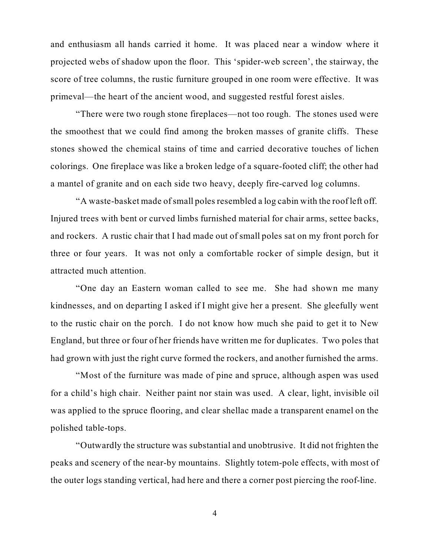and enthusiasm all hands carried it home. It was placed near a window where it projected webs of shadow upon the floor. This 'spider-web screen', the stairway, the score of tree columns, the rustic furniture grouped in one room were effective. It was primeval—the heart of the ancient wood, and suggested restful forest aisles.

"There were two rough stone fireplaces—not too rough. The stones used were the smoothest that we could find among the broken masses of granite cliffs. These stones showed the chemical stains of time and carried decorative touches of lichen colorings. One fireplace was like a broken ledge of a square-footed cliff; the other had a mantel of granite and on each side two heavy, deeply fire-carved log columns.

"A waste-basket made of small poles resembled a log cabin with the roof left off. Injured trees with bent or curved limbs furnished material for chair arms, settee backs, and rockers. A rustic chair that I had made out of small poles sat on my front porch for three or four years. It was not only a comfortable rocker of simple design, but it attracted much attention.

"One day an Eastern woman called to see me. She had shown me many kindnesses, and on departing I asked if I might give her a present. She gleefully went to the rustic chair on the porch. I do not know how much she paid to get it to New England, but three or four of her friends have written me for duplicates. Two poles that had grown with just the right curve formed the rockers, and another furnished the arms.

"Most of the furniture was made of pine and spruce, although aspen was used for a child's high chair. Neither paint nor stain was used. A clear, light, invisible oil was applied to the spruce flooring, and clear shellac made a transparent enamel on the polished table-tops.

"Outwardly the structure was substantial and unobtrusive. It did not frighten the peaks and scenery of the near-by mountains. Slightly totem-pole effects, with most of the outer logs standing vertical, had here and there a corner post piercing the roof-line.